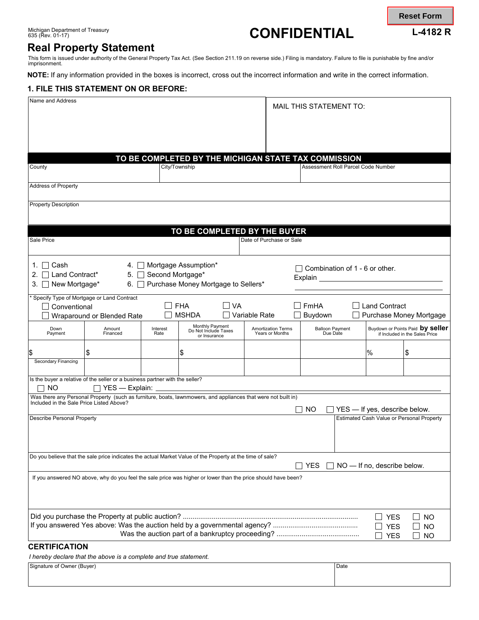# 635 (Rev. 01-17) **CONFIDENTIAL L-4182 R**

**Reset Form**

# **Real Property Statement**

This form is issued under authority of the General Property Tax Act. (See Section 211.19 on reverse side.) Filing is mandatory. Failure to file is punishable by fine and/or<br>imprisonment.

**NOTE:** If any information provided in the boxes is incorrect, cross out the incorrect information and write in the correct information.

## **1. FILE THIS STATEMENT ON OR BEFORE:**

| Name and Address                                            |                                                                                                               |                  |                                                         |    |                                                      |             | <b>MAIL THIS STATEMENT TO:</b>     |                          |                                                                    |
|-------------------------------------------------------------|---------------------------------------------------------------------------------------------------------------|------------------|---------------------------------------------------------|----|------------------------------------------------------|-------------|------------------------------------|--------------------------|--------------------------------------------------------------------|
|                                                             |                                                                                                               |                  |                                                         |    |                                                      |             |                                    |                          |                                                                    |
|                                                             |                                                                                                               |                  |                                                         |    |                                                      |             |                                    |                          |                                                                    |
|                                                             |                                                                                                               |                  |                                                         |    | TO BE COMPLETED BY THE MICHIGAN STATE TAX COMMISSION |             |                                    |                          |                                                                    |
| County                                                      |                                                                                                               |                  | City/Township                                           |    |                                                      |             | Assessment Roll Parcel Code Number |                          |                                                                    |
| <b>Address of Property</b>                                  |                                                                                                               |                  |                                                         |    |                                                      |             |                                    |                          |                                                                    |
| <b>Property Description</b>                                 |                                                                                                               |                  |                                                         |    |                                                      |             |                                    |                          |                                                                    |
|                                                             |                                                                                                               |                  |                                                         |    | TO BE COMPLETED BY THE BUYER                         |             |                                    |                          |                                                                    |
| Sale Price                                                  |                                                                                                               |                  |                                                         |    | Date of Purchase or Sale                             |             |                                    |                          |                                                                    |
| 1. $\Box$ Cash                                              | 4.                                                                                                            |                  | Mortgage Assumption*                                    |    |                                                      |             | Combination of 1 - 6 or other.     |                          |                                                                    |
| Land Contract*<br>2.<br>$\mathbf{I}$<br>New Mortgage*<br>3. | 5.<br>6. I                                                                                                    | Second Mortgage* | Purchase Money Mortgage to Sellers*                     |    |                                                      | Explain __  |                                    |                          |                                                                    |
|                                                             | * Specify Type of Mortgage or Land Contract                                                                   |                  |                                                         |    |                                                      |             |                                    |                          |                                                                    |
| Conventional                                                |                                                                                                               |                  | <b>FHA</b>                                              | VA |                                                      | <b>FmHA</b> |                                    | <b>Land Contract</b>     |                                                                    |
|                                                             | Wraparound or Blended Rate                                                                                    |                  | <b>MSHDA</b>                                            |    | Variable Rate                                        | Buydown     |                                    |                          | Purchase Money Mortgage                                            |
| Down<br>Payment                                             | Amount<br>Financed                                                                                            | Interest<br>Rate | Monthly Payment<br>Do Not Include Taxes<br>or Insurance |    | <b>Amortization Terms</b><br>Years or Months         |             | <b>Balloon Payment</b><br>Due Date |                          | Buydown or Points Paid by seller<br>if Included in the Sales Price |
|                                                             | \$                                                                                                            |                  | \$                                                      |    |                                                      |             |                                    | %                        | \$                                                                 |
| Secondary Financing                                         |                                                                                                               |                  |                                                         |    |                                                      |             |                                    |                          |                                                                    |
| NO.                                                         | Is the buyer a relative of the seller or a business partner with the seller?<br>YES — Explain:                |                  |                                                         |    |                                                      |             |                                    |                          |                                                                    |
| Included in the Sale Price Listed Above?                    | Was there any Personal Property (such as furniture, boats, lawnmowers, and appliances that were not built in) |                  |                                                         |    |                                                      | <b>NO</b>   |                                    |                          | YES - If yes, describe below.                                      |
| <b>Describe Personal Property</b>                           |                                                                                                               |                  |                                                         |    |                                                      |             |                                    |                          | Estimated Cash Value or Personal Property                          |
|                                                             |                                                                                                               |                  |                                                         |    |                                                      |             |                                    |                          |                                                                    |
|                                                             | Do you believe that the sale price indicates the actual Market Value of the Property at the time of sale?     |                  |                                                         |    |                                                      | YES         |                                    |                          | NO - If no, describe below.                                        |
|                                                             | If you answered NO above, why do you feel the sale price was higher or lower than the price should have been? |                  |                                                         |    |                                                      |             |                                    |                          |                                                                    |
|                                                             |                                                                                                               |                  |                                                         |    |                                                      |             |                                    |                          |                                                                    |
|                                                             |                                                                                                               |                  |                                                         |    |                                                      |             |                                    | $\Box$ YES               | <b>NO</b>                                                          |
|                                                             |                                                                                                               |                  |                                                         |    |                                                      |             |                                    | <b>YES</b><br><b>YES</b> | ΝO<br><b>NO</b>                                                    |
| <b>CERTIFICATION</b>                                        |                                                                                                               |                  |                                                         |    |                                                      |             |                                    |                          |                                                                    |

*I hereby declare that the above is a complete and true statement.* 

| Signature of Owner (Buyer) | Date |
|----------------------------|------|
|                            |      |
|                            |      |